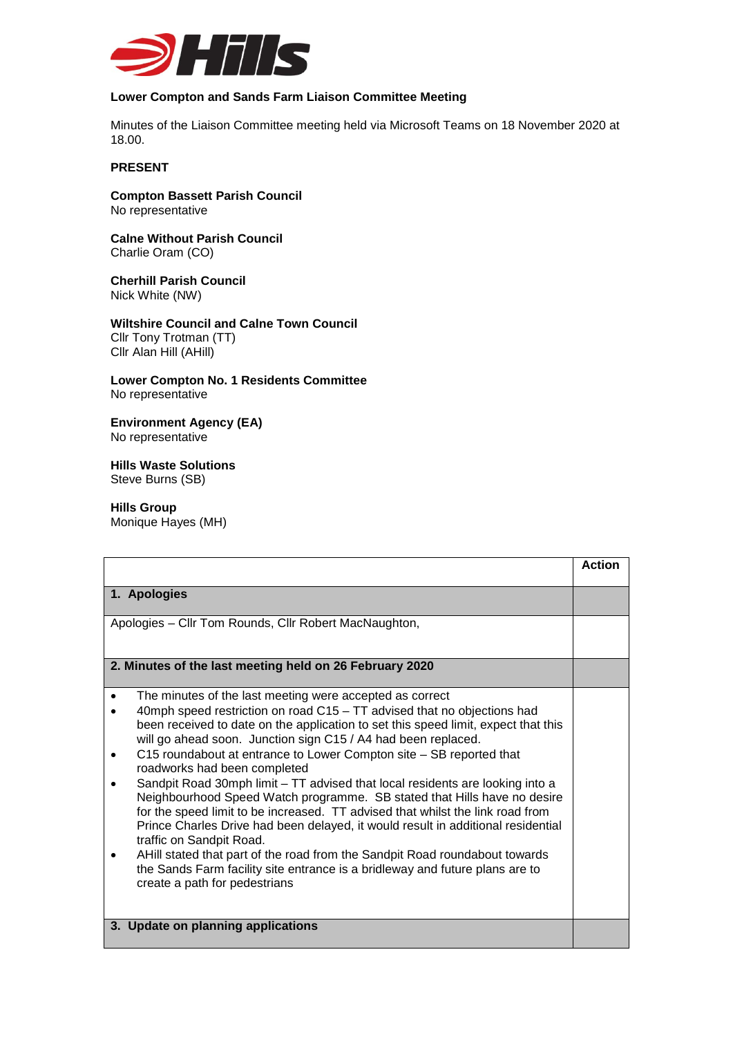

## **Lower Compton and Sands Farm Liaison Committee Meeting**

Minutes of the Liaison Committee meeting held via Microsoft Teams on 18 November 2020 at 18.00.

## **PRESENT**

**Compton Bassett Parish Council** No representative

**Calne Without Parish Council** Charlie Oram (CO)

**Cherhill Parish Council** Nick White (NW)

**Wiltshire Council and Calne Town Council**  Cllr Tony Trotman (TT) Cllr Alan Hill (AHill)

**Lower Compton No. 1 Residents Committee** No representative

**Environment Agency (EA)** No representative

**Hills Waste Solutions**  Steve Burns (SB)

**Hills Group** Monique Hayes (MH)

|                                                                                    | <b>Action</b> |
|------------------------------------------------------------------------------------|---------------|
|                                                                                    |               |
| 1. Apologies                                                                       |               |
|                                                                                    |               |
| Apologies - Cllr Tom Rounds, Cllr Robert MacNaughton,                              |               |
|                                                                                    |               |
|                                                                                    |               |
| 2. Minutes of the last meeting held on 26 February 2020                            |               |
|                                                                                    |               |
| The minutes of the last meeting were accepted as correct                           |               |
| 40mph speed restriction on road C15 – TT advised that no objections had            |               |
| been received to date on the application to set this speed limit, expect that this |               |
| will go ahead soon. Junction sign C15 / A4 had been replaced.                      |               |
| C15 roundabout at entrance to Lower Compton site - SB reported that                |               |
| roadworks had been completed                                                       |               |
| Sandpit Road 30mph limit - TT advised that local residents are looking into a      |               |
| Neighbourhood Speed Watch programme. SB stated that Hills have no desire           |               |
| for the speed limit to be increased. TT advised that whilst the link road from     |               |
| Prince Charles Drive had been delayed, it would result in additional residential   |               |
| traffic on Sandpit Road.                                                           |               |
| AHill stated that part of the road from the Sandpit Road roundabout towards        |               |
| the Sands Farm facility site entrance is a bridleway and future plans are to       |               |
| create a path for pedestrians                                                      |               |
|                                                                                    |               |
|                                                                                    |               |
| 3. Update on planning applications                                                 |               |
|                                                                                    |               |
|                                                                                    |               |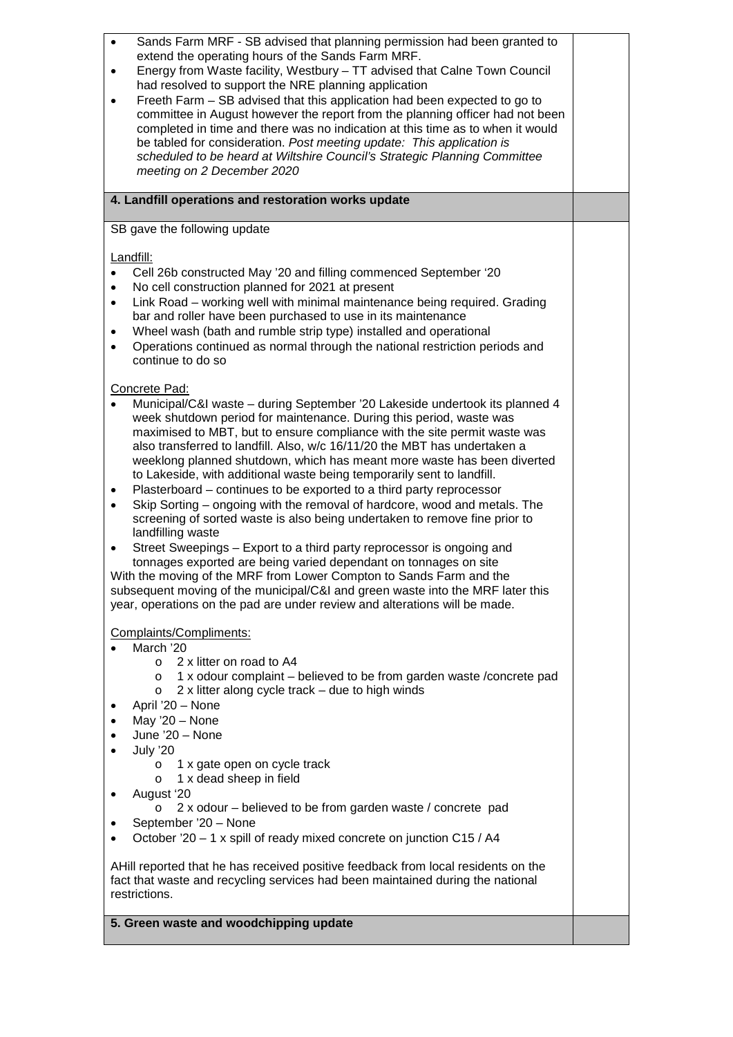| Sands Farm MRF - SB advised that planning permission had been granted to<br>$\bullet$<br>extend the operating hours of the Sands Farm MRF.<br>Energy from Waste facility, Westbury - TT advised that Calne Town Council<br>$\bullet$<br>had resolved to support the NRE planning application<br>Freeth Farm - SB advised that this application had been expected to go to<br>$\bullet$<br>committee in August however the report from the planning officer had not been<br>completed in time and there was no indication at this time as to when it would<br>be tabled for consideration. Post meeting update: This application is<br>scheduled to be heard at Wiltshire Council's Strategic Planning Committee<br>meeting on 2 December 2020                                                                                                                                                                                                                                                                                                                                                                                                    |  |
|--------------------------------------------------------------------------------------------------------------------------------------------------------------------------------------------------------------------------------------------------------------------------------------------------------------------------------------------------------------------------------------------------------------------------------------------------------------------------------------------------------------------------------------------------------------------------------------------------------------------------------------------------------------------------------------------------------------------------------------------------------------------------------------------------------------------------------------------------------------------------------------------------------------------------------------------------------------------------------------------------------------------------------------------------------------------------------------------------------------------------------------------------|--|
| 4. Landfill operations and restoration works update                                                                                                                                                                                                                                                                                                                                                                                                                                                                                                                                                                                                                                                                                                                                                                                                                                                                                                                                                                                                                                                                                              |  |
| SB gave the following update                                                                                                                                                                                                                                                                                                                                                                                                                                                                                                                                                                                                                                                                                                                                                                                                                                                                                                                                                                                                                                                                                                                     |  |
| Landfill:<br>Cell 26b constructed May '20 and filling commenced September '20<br>$\bullet$<br>No cell construction planned for 2021 at present<br>$\bullet$<br>Link Road - working well with minimal maintenance being required. Grading<br>$\bullet$<br>bar and roller have been purchased to use in its maintenance<br>Wheel wash (bath and rumble strip type) installed and operational<br>$\bullet$<br>Operations continued as normal through the national restriction periods and<br>$\bullet$<br>continue to do so                                                                                                                                                                                                                                                                                                                                                                                                                                                                                                                                                                                                                         |  |
| Concrete Pad:<br>Municipal/C&I waste - during September '20 Lakeside undertook its planned 4<br>week shutdown period for maintenance. During this period, waste was<br>maximised to MBT, but to ensure compliance with the site permit waste was<br>also transferred to landfill. Also, w/c 16/11/20 the MBT has undertaken a<br>weeklong planned shutdown, which has meant more waste has been diverted<br>to Lakeside, with additional waste being temporarily sent to landfill.<br>Plasterboard – continues to be exported to a third party reprocessor<br>٠<br>Skip Sorting – ongoing with the removal of hardcore, wood and metals. The<br>$\bullet$<br>screening of sorted waste is also being undertaken to remove fine prior to<br>landfilling waste<br>Street Sweepings - Export to a third party reprocessor is ongoing and<br>tonnages exported are being varied dependant on tonnages on site<br>With the moving of the MRF from Lower Compton to Sands Farm and the<br>subsequent moving of the municipal/C&I and green waste into the MRF later this<br>year, operations on the pad are under review and alterations will be made. |  |
| Complaints/Compliments:<br>March '20<br>2 x litter on road to A4<br>$\circ$<br>1 x odour complaint – believed to be from garden waste / concrete pad<br>$\circ$<br>2 x litter along cycle track - due to high winds<br>$\circ$<br>April '20 - None<br>May $20 - None$<br>June '20 - None<br>July '20                                                                                                                                                                                                                                                                                                                                                                                                                                                                                                                                                                                                                                                                                                                                                                                                                                             |  |
| 1 x gate open on cycle track<br>$\circ$<br>1 x dead sheep in field<br>$\circ$<br>August '20<br>٠<br>2 x odour – believed to be from garden waste / concrete pad<br>O                                                                                                                                                                                                                                                                                                                                                                                                                                                                                                                                                                                                                                                                                                                                                                                                                                                                                                                                                                             |  |
| September '20 - None<br>٠<br>October '20 - 1 x spill of ready mixed concrete on junction C15 / A4                                                                                                                                                                                                                                                                                                                                                                                                                                                                                                                                                                                                                                                                                                                                                                                                                                                                                                                                                                                                                                                |  |
| AHill reported that he has received positive feedback from local residents on the<br>fact that waste and recycling services had been maintained during the national<br>restrictions.                                                                                                                                                                                                                                                                                                                                                                                                                                                                                                                                                                                                                                                                                                                                                                                                                                                                                                                                                             |  |
| 5. Green waste and woodchipping update                                                                                                                                                                                                                                                                                                                                                                                                                                                                                                                                                                                                                                                                                                                                                                                                                                                                                                                                                                                                                                                                                                           |  |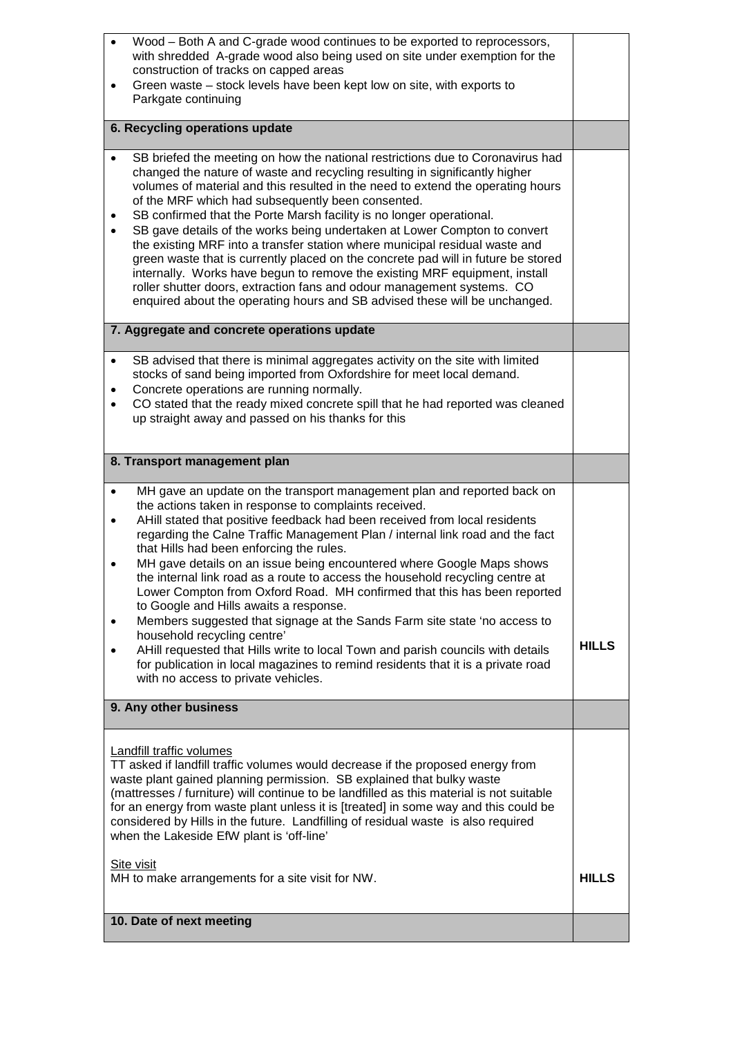| Wood - Both A and C-grade wood continues to be exported to reprocessors,<br>$\bullet$<br>with shredded A-grade wood also being used on site under exemption for the                                                                                                                                                                                                                                                                                                                                                                                                                                                                                                                                                                                                                                                                                                                                                                                                                  |              |
|--------------------------------------------------------------------------------------------------------------------------------------------------------------------------------------------------------------------------------------------------------------------------------------------------------------------------------------------------------------------------------------------------------------------------------------------------------------------------------------------------------------------------------------------------------------------------------------------------------------------------------------------------------------------------------------------------------------------------------------------------------------------------------------------------------------------------------------------------------------------------------------------------------------------------------------------------------------------------------------|--------------|
| construction of tracks on capped areas<br>Green waste - stock levels have been kept low on site, with exports to<br>Parkgate continuing                                                                                                                                                                                                                                                                                                                                                                                                                                                                                                                                                                                                                                                                                                                                                                                                                                              |              |
| 6. Recycling operations update                                                                                                                                                                                                                                                                                                                                                                                                                                                                                                                                                                                                                                                                                                                                                                                                                                                                                                                                                       |              |
|                                                                                                                                                                                                                                                                                                                                                                                                                                                                                                                                                                                                                                                                                                                                                                                                                                                                                                                                                                                      |              |
| SB briefed the meeting on how the national restrictions due to Coronavirus had<br>changed the nature of waste and recycling resulting in significantly higher<br>volumes of material and this resulted in the need to extend the operating hours<br>of the MRF which had subsequently been consented.<br>SB confirmed that the Porte Marsh facility is no longer operational.<br>$\bullet$<br>SB gave details of the works being undertaken at Lower Compton to convert<br>$\bullet$<br>the existing MRF into a transfer station where municipal residual waste and<br>green waste that is currently placed on the concrete pad will in future be stored<br>internally. Works have begun to remove the existing MRF equipment, install<br>roller shutter doors, extraction fans and odour management systems. CO<br>enquired about the operating hours and SB advised these will be unchanged.                                                                                       |              |
| 7. Aggregate and concrete operations update                                                                                                                                                                                                                                                                                                                                                                                                                                                                                                                                                                                                                                                                                                                                                                                                                                                                                                                                          |              |
| SB advised that there is minimal aggregates activity on the site with limited<br>$\bullet$<br>stocks of sand being imported from Oxfordshire for meet local demand.<br>Concrete operations are running normally.<br>$\bullet$<br>CO stated that the ready mixed concrete spill that he had reported was cleaned<br>٠<br>up straight away and passed on his thanks for this                                                                                                                                                                                                                                                                                                                                                                                                                                                                                                                                                                                                           |              |
| 8. Transport management plan                                                                                                                                                                                                                                                                                                                                                                                                                                                                                                                                                                                                                                                                                                                                                                                                                                                                                                                                                         |              |
| MH gave an update on the transport management plan and reported back on<br>$\bullet$<br>the actions taken in response to complaints received.<br>AHill stated that positive feedback had been received from local residents<br>٠<br>regarding the Calne Traffic Management Plan / internal link road and the fact<br>that Hills had been enforcing the rules.<br>MH gave details on an issue being encountered where Google Maps shows<br>the internal link road as a route to access the household recycling centre at<br>Lower Compton from Oxford Road. MH confirmed that this has been reported<br>to Google and Hills awaits a response.<br>Members suggested that signage at the Sands Farm site state 'no access to<br>$\bullet$<br>household recycling centre'<br>AHill requested that Hills write to local Town and parish councils with details<br>for publication in local magazines to remind residents that it is a private road<br>with no access to private vehicles. | <b>HILLS</b> |
| 9. Any other business                                                                                                                                                                                                                                                                                                                                                                                                                                                                                                                                                                                                                                                                                                                                                                                                                                                                                                                                                                |              |
| <b>Landfill traffic volumes</b><br>TT asked if landfill traffic volumes would decrease if the proposed energy from<br>waste plant gained planning permission. SB explained that bulky waste<br>(mattresses / furniture) will continue to be landfilled as this material is not suitable<br>for an energy from waste plant unless it is [treated] in some way and this could be<br>considered by Hills in the future. Landfilling of residual waste is also required<br>when the Lakeside EfW plant is 'off-line'                                                                                                                                                                                                                                                                                                                                                                                                                                                                     |              |
| Site visit<br>MH to make arrangements for a site visit for NW.                                                                                                                                                                                                                                                                                                                                                                                                                                                                                                                                                                                                                                                                                                                                                                                                                                                                                                                       | <b>HILLS</b> |
| 10. Date of next meeting                                                                                                                                                                                                                                                                                                                                                                                                                                                                                                                                                                                                                                                                                                                                                                                                                                                                                                                                                             |              |